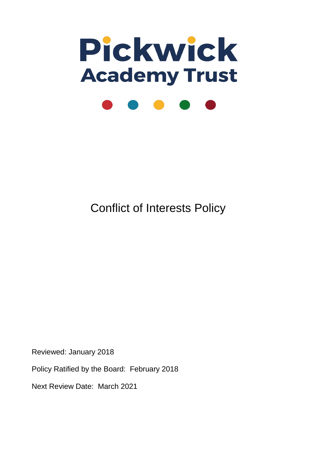

Conflict of Interests Policy

Reviewed: January 2018

Policy Ratified by the Board: February 2018

Next Review Date: March 2021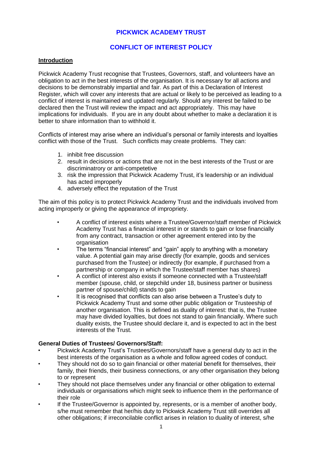# **PICKWICK ACADEMY TRUST**

# **CONFLICT OF INTEREST POLICY**

## **Introduction**

Pickwick Academy Trust recognise that Trustees, Governors, staff, and volunteers have an obligation to act in the best interests of the organisation. It is necessary for all actions and decisions to be demonstrably impartial and fair. As part of this a Declaration of Interest Register, which will cover any interests that are actual or likely to be perceived as leading to a conflict of interest is maintained and updated regularly. Should any interest be failed to be declared then the Trust will review the impact and act appropriately. This may have implications for individuals. If you are in any doubt about whether to make a declaration it is better to share information than to withhold it.

Conflicts of interest may arise where an individual's personal or family interests and loyalties conflict with those of the Trust. Such conflicts may create problems. They can:

- 1. inhibit free discussion
- 2. result in decisions or actions that are not in the best interests of the Trust or are discriminatrory or anti-competetive
- 3. risk the impression that Pickwick Academy Trust, it's leadership or an individual has acted improperly
- 4. adversely effect the reputation of the Trust

The aim of this policy is to protect Pickwick Academy Trust and the individuals involved from acting improperly or giving the appearance of impropriety.

- A conflict of interest exists where a Trustee/Governor/staff member of Pickwick Academy Trust has a financial interest in or stands to gain or lose financially from any contract, transaction or other agreement entered into by the organisation
- The terms "financial interest" and "gain" apply to anything with a monetary value. A potential gain may arise directly (for example, goods and services purchased from the Trustee) or indirectly (for example, if purchased from a partnership or company in which the Trustee/staff member has shares)
- A conflict of interest also exists if someone connected with a Trustee/staff member (spouse, child, or stepchild under 18, business partner or business partner of spouse/child) stands to gain
- It is recognised that conflicts can also arise between a Trustee's duty to Pickwick Academy Trust and some other public obligation or Trusteeship of another organisation. This is defined as duality of interest: that is, the Trustee may have divided loyalties, but does not stand to gain financially. Where such duality exists, the Trustee should declare it, and is expected to act in the best interests of the Trust.

### **General Duties of Trustees/ Governors/Staff:**

- Pickwick Academy Trust's Trustees/Governors/staff have a general duty to act in the best interests of the organisation as a whole and follow agreed codes of conduct.
- They should not do so to gain financial or other material benefit for themselves, their family, their friends, their business connections, or any other organisation they belong to or represent
- They should not place themselves under any financial or other obligation to external individuals or organisations which might seek to influence them in the performance of their role
- If the Trustee/Governor is appointed by, represents, or is a member of another body, s/he must remember that her/his duty to Pickwick Academy Trust still overrides all other obligations; if irreconcilable conflict arises in relation to duality of interest, s/he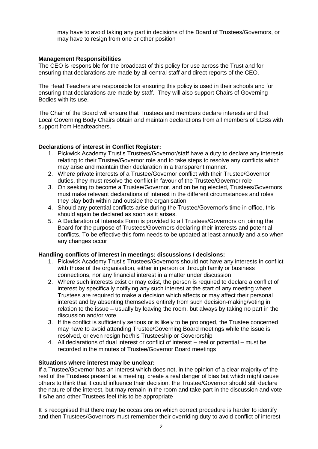may have to avoid taking any part in decisions of the Board of Trustees/Governors, or may have to resign from one or other position

## **Management Responsibilities**

The CEO is responsible for the broadcast of this policy for use across the Trust and for ensuring that declarations are made by all central staff and direct reports of the CEO.

The Head Teachers are responsible for ensuring this policy is used in their schools and for ensuring that declarations are made by staff. They will also support Chairs of Governing Bodies with its use.

The Chair of the Board will ensure that Trustees and members declare interests and that Local Governing Body Chairs obtain and maintain declarations from all members of LGBs with support from Headteachers.

## **Declarations of interest in Conflict Register:**

- 1. Pickwick Academy Trust's Trustees/Governor/staff have a duty to declare any interests relating to their Trustee/Governor role and to take steps to resolve any conflicts which may arise and maintain their declaration in a transparent manner.
- 2. Where private interests of a Trustee/Governor conflict with their Trustee/Governor duties, they must resolve the conflict in favour of the Trustee/Governor role
- 3. On seeking to become a Trustee/Governor, and on being elected, Trustees/Governors must make relevant declarations of interest in the different circumstances and roles they play both within and outside the organisation
- 4. Should any potential conflicts arise during the Trustee/Governor's time in office, this should again be declared as soon as it arises.
- 5. A Declaration of Interests Form is provided to all Trustees/Governors on joining the Board for the purpose of Trustees/Governors declaring their interests and potential conflicts. To be effective this form needs to be updated at least annually and also when any changes occur

### **Handling conflicts of interest in meetings: discussions / decisions:**

- 1. Pickwick Academy Trust's Trustees/Governors should not have any interests in conflict with those of the organisation, either in person or through family or business connections, nor any financial interest in a matter under discussion
- 2. Where such interests exist or may exist, the person is required to declare a conflict of interest by specifically notifying any such interest at the start of any meeting where Trustees are required to make a decision which affects or may affect their personal interest and by absenting themselves entirely from such decision-making/voting in relation to the issue – usually by leaving the room, but always by taking no part in the discussion and/or vote
- 3. If the conflict is sufficiently serious or is likely to be prolonged, the Trustee concerned may have to avoid attending Trustee/Governing Board meetings while the issue is resolved, or even resign her/his Trusteeship or Goverorship
- 4. All declarations of dual interest or conflict of interest real or potential must be recorded in the minutes of Trustee/Governor Board meetings

### **Situations where interest may be unclear:**

If a Trustee/Governor has an interest which does not, in the opinion of a clear majority of the rest of the Trustees present at a meeting, create a real danger of bias but which might cause others to think that it could influence their decision, the Trustee/Governor should still declare the nature of the interest, but may remain in the room and take part in the discussion and vote if s/he and other Trustees feel this to be appropriate

It is recognised that there may be occasions on which correct procedure is harder to identify and then Trustees/Governors must remember their overriding duty to avoid conflict of interest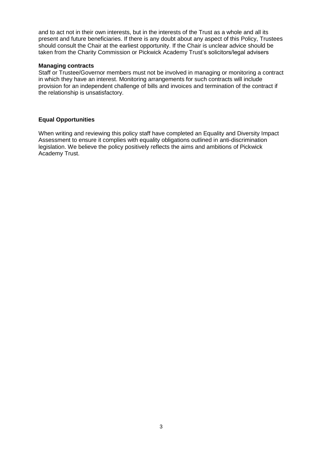and to act not in their own interests, but in the interests of the Trust as a whole and all its present and future beneficiaries. If there is any doubt about any aspect of this Policy, Trustees should consult the Chair at the earliest opportunity. If the Chair is unclear advice should be taken from the Charity Commission or Pickwick Academy Trust's solicitors/legal advisers

#### **Managing contracts**

Staff or Trustee/Governor members must not be involved in managing or monitoring a contract in which they have an interest. Monitoring arrangements for such contracts will include provision for an independent challenge of bills and invoices and termination of the contract if the relationship is unsatisfactory.

### **Equal Opportunities**

When writing and reviewing this policy staff have completed an Equality and Diversity Impact Assessment to ensure it complies with equality obligations outlined in anti-discrimination legislation. We believe the policy positively reflects the aims and ambitions of Pickwick Academy Trust.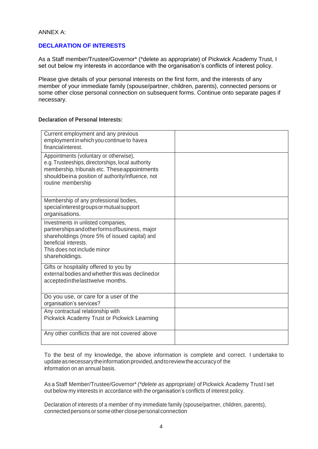ANNEX A:

## **DECLARATION OF INTERESTS**

As a Staff member/Trustee/Governor\* (\*delete as appropriate) of Pickwick Academy Trust, I set out below my interests in accordance with the organisation's conflicts of interest policy.

Please give details of your personal interests on the first form, and the interests of any member of your immediate family (spouse/partner, children, parents), connected persons or some other close personal connection on subsequent forms. Continue onto separate pages if necessary.

#### **Declaration of Personal Interests:**

| Current employment and any previous<br>employment in which you continue to havea<br>financialinterest.                                                                                                                |  |
|-----------------------------------------------------------------------------------------------------------------------------------------------------------------------------------------------------------------------|--|
| Appointments (voluntary or otherwise),<br>e.g. Trusteeships, directorships, local authority<br>membership, tribunals etc. Theseappointments<br>shouldbeina position of authority/influence, not<br>routine membership |  |
| Membership of any professional bodies,<br>special interest groups or mutual support<br>organisations.                                                                                                                 |  |
| Investments in unlisted companies,<br>partnerships and other forms of business, major<br>shareholdings (more 5% of issued capital) and<br>beneficial interests.<br>This does not include minor<br>shareholdings.      |  |
| Gifts or hospitality offered to you by<br>external bodies and whether this was declined or<br>acceptedinthelasttwelve months.                                                                                         |  |
| Do you use, or care for a user of the<br>organisation's services?                                                                                                                                                     |  |
| Any contractual relationship with<br>Pickwick Academy Trust or Pickwick Learning                                                                                                                                      |  |
| Any other conflicts that are not covered above                                                                                                                                                                        |  |

To the best of my knowledge, the above information is complete and correct. I undertake to updateasnecessarytheinformationprovided,andtoreviewtheaccuracyof the information on an annual basis.

As a Staff Member/Trustee/Governor\* *(\*delete as appropriate)* of Pickwick Academy Trust I set out below my interests in accordance with the organisation's conflicts of interest policy.

Declaration of interests of a member of my immediate family (spouse/partner, children, parents), connected persons or some other close personal connection